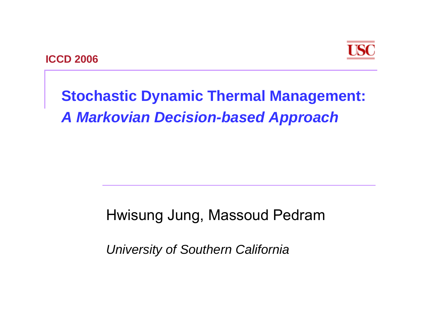



#### **Stochastic Dynamic Thermal Management:** *A Markovian Decision-based Approach*

#### Hwisung Jung, Massoud Pedram

*University of Southern California*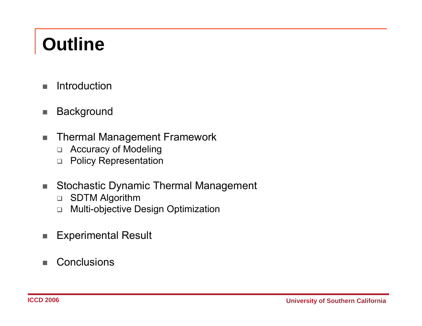# **Outline**

- $\blacksquare$ Introduction
- $\blacksquare$ **Background**
- ٠ Thermal Management Framework
	- $\Box$ Accuracy of Modeling
	- $\Box$ Policy Representation
- $\mathcal{L}_{\mathcal{A}}$ Stochastic Dynamic Thermal Management
	- $\Box$ SDTM Algorithm
	- $\Box$ Multi-objective Design Optimization
- a. Experimental Result
- $\blacksquare$ **Conclusions**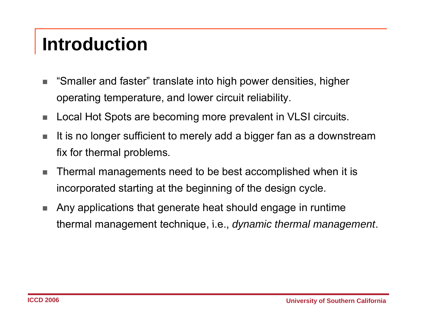#### **Introduction**

- п "Smaller and faster" translate into high power densities, higher operating temperature, and lower circuit reliability.
- a. Local Hot Spots are becoming more prevalent in VLSI circuits.
- п It is no longer sufficient to merely add a bigger fan as a downstream fix for thermal problems.
- п Thermal managements need to be best accomplished when it is incorporated starting at the beginning of the design cycle.
- $\blacksquare$  Any applications that generate heat should engage in runtime thermal management technique, i.e., *dynamic thermal management*.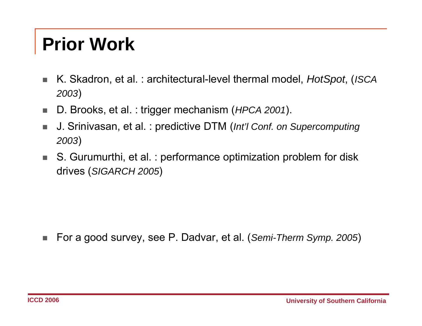#### **Prior Work**

- $\mathcal{L}_{\mathcal{A}}$  K. Skadron, et al. : architectural-level thermal model, *HotSpot*, (*ISCA <sup>2003</sup>*)
- п D. Brooks, et al. : trigger mechanism (*HPCA 2001*).
- п J. Srinivasan, et al. : predictive DTM (*Int'l Conf. on Supercomputing <sup>2003</sup>*)
- $\mathbf{r}$  S. Gurumurthi, et al. : performance optimization problem for disk drives (*SIGARCH 2005*)

 $\mathcal{L}_{\mathcal{A}}$ For a good survey, see P. Dadvar, et al. (*Semi-Therm Symp. 2005*)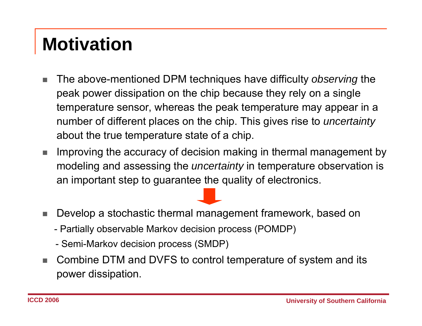#### **Motivation**

- $\blacksquare$  The above-mentioned DPM techniques have difficulty *observing* the peak power dissipation on the chip because they rely on a single temperature sensor, whereas the peak temperature may appear in a number of different places on the chip. This gives rise to *uncertainty* about the true temperature state of a chip.
- п Improving the accuracy of decision making in thermal management by modeling and assessing the *uncertainty* in temperature observation is an important step to guarantee the quality of electronics.
- п Develop a stochastic thermal management framework, based on
	- Partially observable Markov decision process (POMDP)
	- Semi-Markov decision process (SMDP)
- п  $\blacksquare$  Combine DTM and DVFS to control temperature of system and its power dissipation.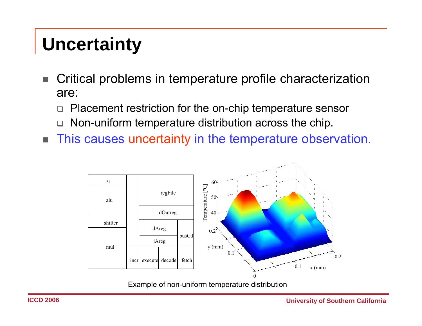#### **Uncertainty**

- п Critical problems in temperature profile characterization are:
	- $\Box$ Placement restriction for the on-chip temperature sensor
	- $\Box$ Non-uniform temperature distribution across the chip.
- $\mathbf{r}$ This causes uncertainty in the temperature observation.



Example of non-uniform temperature distribution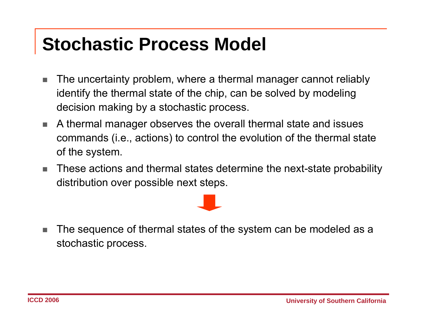#### **Stochastic Process Model**

- $\overline{\phantom{a}}$  The uncertainty problem, where a thermal manager cannot reliably identify the thermal state of the chip, can be solved by modeling decision making by a stochastic process.
- **College**  A thermal manager observes the overall thermal state and issues commands (i.e., actions) to control the evolution of the thermal state of the system.
- m. These actions and thermal states determine the next-state probability distribution over possible next steps.



п The sequence of thermal states of the system can be modeled as a stochastic process.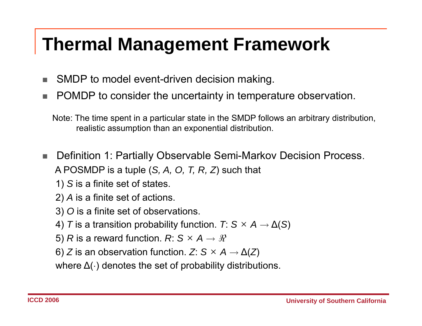#### **Thermal Management Framework**

- п SMDP to model event-driven decision making.
- п ■ POMDP to consider the uncertainty in temperature observation.

Note: The time spent in a particular state in the SMDP follows an arbitrary distribution, realistic assumption than an exponential distribution.

- ٠ Definition 1: Partially Observable Semi-Markov Decision Process. A POSMDP is a tuple (*S, A, O, T, R, Z*) such that
	- 1) *S* is a finite set of states.
	- 2) *A* is a finite set of actions.
	- 3) *O* is a finite set of observations.
	- 4)  $\mathcal{T}$  is a transition probability function.  $\mathcal{T}\colon\mathcal{S}\times A\to\Delta(\mathcal{S})$
	- 5)  $R$  is a reward function.  $R\text{: } \mathsf{S} \times \mathsf{A} \rightarrow \mathscr{R}$
	- 6)  $Z$  is an observation function.  $Z\!:\mathsf{S}\times\mathsf{A}\rightarrow\Delta(Z)$

where  $\Delta(\cdot)$  denotes the set of probability distributions.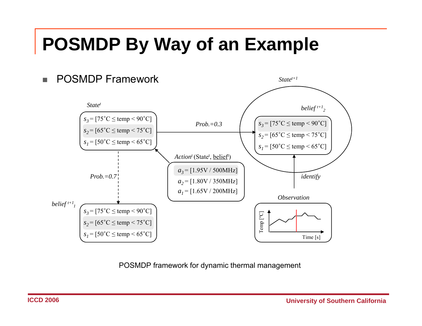#### **POSMDP By Way of an Example**



POSMDP framework for dynamic thermal management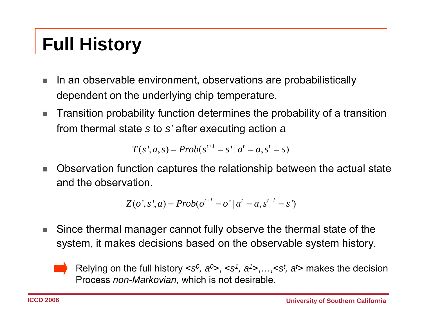# **Full History**

- $\blacksquare$  In an observable environment, observations are probabilistically dependent on the underlying chip temperature.
- п Transition probability function determines the probability of a transition from thermal state *s* to *s'* after executing action *<sup>a</sup>*

$$
T(s', a, s) = Prob(s^{t+1} = s' | a^t = a, s^t = s)
$$

п Observation function captures the relationship between the actual state and the observation.

$$
Z(o', s', a) = Prob(o^{t+1} = o' | a^t = a, s^{t+1} = s')
$$

 $\mathcal{L}_{\mathcal{A}}$  Since thermal manager cannot fully observe the thermal state of the system, it makes decisions based on the observable system history.



Relying on the full history <*s<sup>0</sup>, a<sup>0</sup>>, <s<sup>1</sup>, a<sup>1</sup>>,…,<s<sup>t</sup>, a'> makes the decision* Process *non-Markovian,* which is not desirable.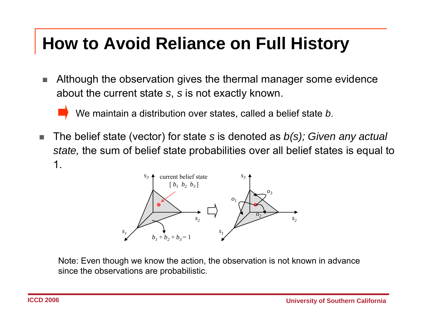#### **How to Avoid Reliance on Full History**

п Although the observation gives the thermal manager some evidence about the current state *<sup>s</sup>*, *<sup>s</sup>* is not exactly known.

We maintain a distribution over states, called a belief state *b*.

Г ■ The belief state (vector) for state s is denoted as *b(s); Given any actual state,* the sum of belief state probabilities over all belief states is equal to 1.



Note: Even thou gh we know the action, the observation is not known in advance since the observations are probabilistic.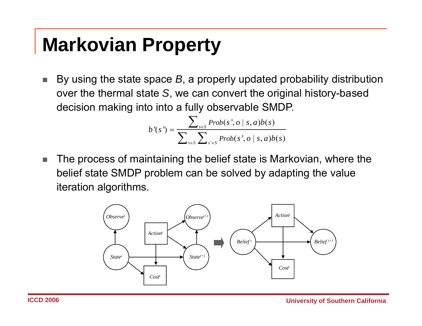# **Markovian Property**

 $\mathcal{L}_{\mathcal{A}}$ ■ By using the state space *B*, a properly updated probability distribution over the thermal state *S*, we can convert the original history-based decision making into into a fully observable SMDP.

$$
b'(s') = \frac{\sum_{s \in S} Prob(s', o \mid s, a)b(s)}{\sum_{s \in S} \sum_{s' \in S} Prob(s', o \mid s, a)b(s)}
$$

п The process of maintaining the belief state is Markovian, where the belief state SMDP problem can be solved by adapting the value iteration algorithms.

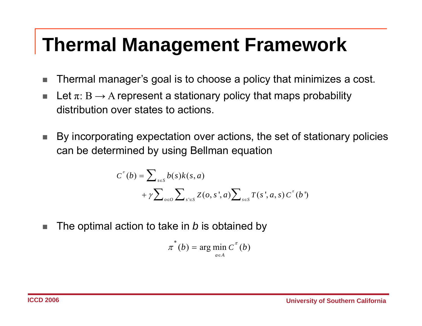#### **Thermal Management Framework**

- $\mathcal{L}_{\mathcal{A}}$ Thermal manager's goal is to choose a policy that minimizes a cost.
- a.  $\blacksquare$  Let  $\pi: \mathcal{B} \to \mathcal{A}$  represent a stationary policy that maps probability distribution over states to actions.
- **College** By incorporating expectation over actions, the set of stationary policies can be determined by using Bellman equation

$$
C^{\pi}(b) = \sum_{s \in S} b(s)k(s, a)
$$
  
+  $\gamma \sum_{o \in O} \sum_{s' \in S} Z(o, s', a) \sum_{s \in S} T(s', a, s) C^{\pi}(b')$ 

 $\blacksquare$  The optimal action to take in *b* is obtained by п

$$
\pi^*(b) = \arg\min_{a \in A} C^{\pi}(b)
$$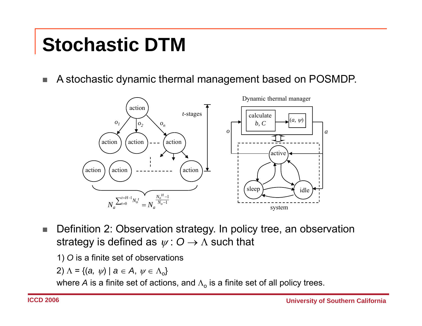# **Stochastic DTM**

I. A stochastic dynamic thermal management based on POSMDP.



- $\mathcal{L}_{\mathcal{A}}$  Definition 2: Observation strategy. In policy tree, an observation strategy is defined as  $\psi: O \rightarrow \Lambda$  such that
	- 1) *O* is a finite set of observations

$$
2) \wedge = \{(a, \psi) \mid a \in A, \psi \in \Lambda_0\}
$$

where  $A$  is a finite set of actions, and  $\Lambda_\text{o}$  is a finite set of all policy trees.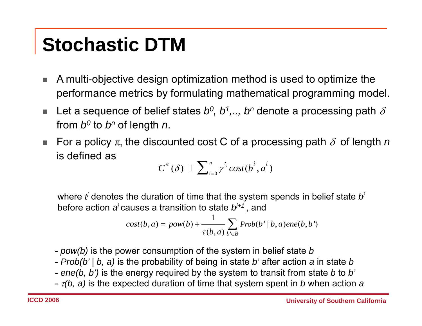# **Stochastic DTM**

- a. A multi-objective design optimization method is used to optimize the performance metrics by formulating mathematical programming model.
- п Let a sequence of belief states  $b^0$ ,  $b^1$ ,..,  $b^n$  denote a processing path  $\delta$ from  $b^0$  to  $b^n$  of length *n*.
- $\overline{\phantom{a}}$ For a policy  $\pi$ , the discounted cost C of a processing path  $\delta$  of length *n* is defined as

$$
\overline{C}^\pi(\delta) \ \overline{\Box}\ \sum\nolimits_{i=0}^n \gamma^{t_i} cost(b^i,a^i)\ \overline{\phantom{C} }
$$

where *ti* denotes the duration of time that the system spends in belief state *bi* before action *a<sup>i</sup>*causes a transition to state *bi+1* , and

$$
cost(b, a) = pow(b) + \frac{1}{\tau(b, a)} \sum_{b' \in B} Prob(b' | b, a)ene(b, b')
$$

- *pow(b)* is the power consumption of the system in belief state *b*
- *Prob(b' | b, a)* is the probability of being in state *b'* after action *a* in state *b*
- *ene(b, b')* is the energy required by the system to transit from state *b* to *b'*
- <sup>τ</sup>*(b, a)* is the expected duration of time that system spent in *b* when action *<sup>a</sup>*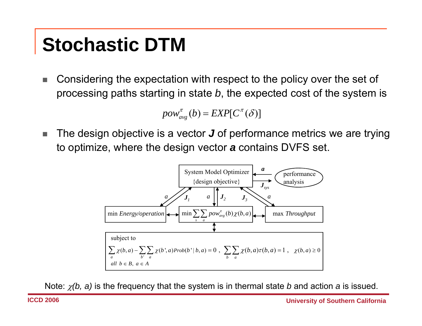# **Stochastic DTM**

п Considering the expectation with respect to the policy over the set of processing paths starting in state *b*, the expected cost of the system is

$$
pow_{avg}^{\pi}(b) = EXP[C^{\pi}(\delta)]
$$

п The design objective is a vector *J* of performance metrics we are trying to optimize, where the design vector *<sup>a</sup>* contains DVFS set.



Note: χ*(b, a)* is the frequency that the system is in thermal state *b* and action *<sup>a</sup>* is issued.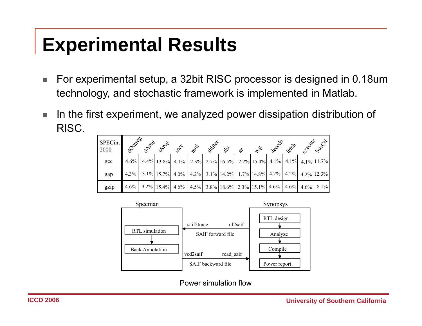- $\mathcal{L}_{\mathcal{A}}$  For experimental setup, a 32bit RISC processor is designed in 0.18um technology, and stochastic framework is implemented in Matlab.
- $\mathcal{L}_{\mathcal{A}}$  In the first experiment, we analyzed power dissipation distribution of RISC.

| SPECint<br>2000 | <b>11 Southern</b> | <b>DITTE</b> S | <b>125080</b>                                                                                                                                                                                                                                                                                                                         | REV | <b>SOLUT</b> | $\mathcal{E}$ | ళ | ್ನಲಿಂ | becode | RECE | checite | Dubech |
|-----------------|--------------------|----------------|---------------------------------------------------------------------------------------------------------------------------------------------------------------------------------------------------------------------------------------------------------------------------------------------------------------------------------------|-----|--------------|---------------|---|-------|--------|------|---------|--------|
| gcc             |                    |                | $4.6\%$ 14.4% 13.8% 4.1% 2.3% 2.7% 16.5% 2.2% 15.4% 4.1% 4.1% 4.1% 11.7%                                                                                                                                                                                                                                                              |     |              |               |   |       |        |      |         |        |
| gap             |                    |                | $\left[4.3\% \left[13.1\% \left[15.7\% \left[4.0\% \left[4.2\% \right] 3.1\% \right] 14.2\% \right] 1.7\% \left[14.8\% \left[4.2\% \left[4.2\% \left[4.2\% \left[4.2\% \left[12.3\% \left[12.3\% \left[12.3\% \left[12.3\% \left[12.3\% \left[12.3\% \left[12.3\% \left[12.3\% \left[12.3\% \left[12.3\% \left[12.3\% \left[12.3\% \$ |     |              |               |   |       |        |      |         |        |
| gzip            |                    |                | $\left[4.6\% \left[9.2\% \left[15.4\% \right] 4.6\% \left[4.5\% \right] 3.8\% \right] 18.6\% \right] 2.3\% \left[15.1\% \left[4.6\% \left[4.6\% \right] 4.6\% \right] 4.6\% \right] 8.1\% \right]$                                                                                                                                    |     |              |               |   |       |        |      |         |        |



**Power simulation flow**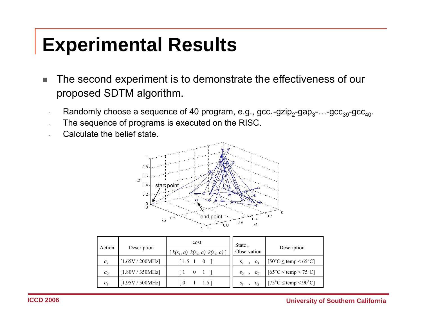- $\mathcal{L}_{\mathcal{A}}$  The second experiment is to demonstrate the effectiveness of our proposed SDTM algorithm.
	- Randomly choose a sequence of 40 program, e.g., gcc<sub>1</sub>-gzip<sub>2</sub>-gap<sub>3</sub>-…-gcc<sub>39</sub>-gcc<sub>40</sub>.
	- The sequence of programs is executed on the RISC.
	- Calculate the belief state.



| Action         |                  | cost                                                                           | State,                     |                                                     |  |
|----------------|------------------|--------------------------------------------------------------------------------|----------------------------|-----------------------------------------------------|--|
|                | Description      | $k(s_1, a) k(s_2, a) k(s_3, a)$                                                | Observation                | Description                                         |  |
| a <sub>1</sub> | [1.65V / 200MHz] | $1.5 \t1 \t0$                                                                  | $S_1$ , $O_1$              | $[50^{\circ}$ C $\leq$ temp $\leq 65^{\circ}$ C]    |  |
| a <sub>2</sub> | [1.80V / 350MHz] | $\begin{bmatrix} 1 & 0 \end{bmatrix}$<br>$\begin{array}{cc} 1 & 1 \end{array}$ | $S_2$ ,<br>$\mathcal{O}_2$ | $[65^{\circ}$ C $\leq$ temp $\leq$ 75 $^{\circ}$ C] |  |
| a <sub>3</sub> | [1.95V / 500MHz] | 1 1.5<br>l 0                                                                   | $S_3$ , $O_3$              | $[75^{\circ}$ C $\leq$ temp $\leq$ 90 $^{\circ}$ C] |  |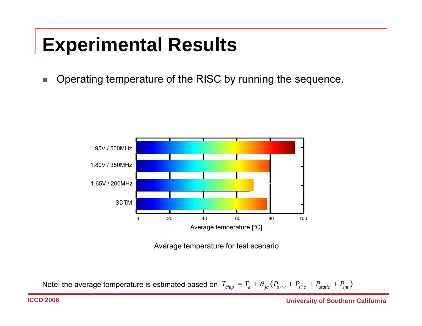I. Operating temperature of the RISC by running the sequence.



Average temperature for test scenario

Note: the average temperature is estimated based on  $\;T_{chip}=T_a+\theta_{ja}(P_{s/w}+P_{s/c}+P_{static}+P_{int})$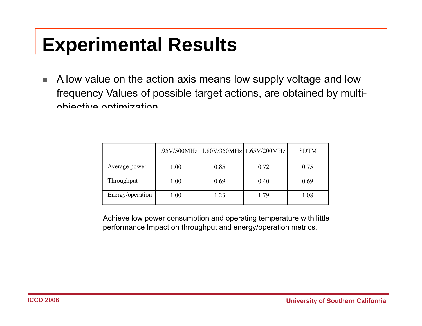$\mathcal{L}_{\mathcal{A}}$  A low value on the action axis means low supply voltage and low frequency Values of possible target actions, are obtained by multiobjective optimization.

|                  |      |      | 1.95V/500MHz   1.80V/350MHz   1.65V/200MHz | <b>SDTM</b> |
|------------------|------|------|--------------------------------------------|-------------|
| Average power    | 1.00 | 0.85 | 0.72                                       | 0.75        |
| Throughput       | 1.00 | 0.69 | 0.40                                       | 0.69        |
| Energy/operation | 1.00 | 1.23 | 1.79                                       | 1.08        |

performance Impact on throughput and energy/operation metrics. Achieve low power consumption and operating temperature with little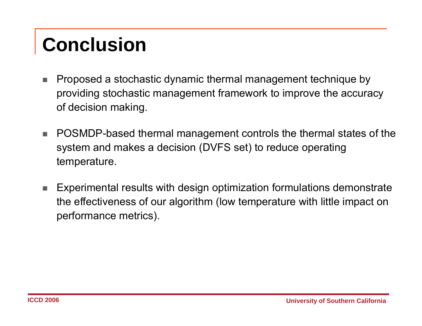# **Conclusion**

- п Proposed a stochastic dynamic thermal management technique by providing stochastic management framework to improve the accuracy of decision making.
- п POSMDP-based thermal management controls the thermal states of the system and makes a decision (DVFS set) to reduce operating temperature.
- п Experimental results with design optimization formulations demonstrate the effectiveness of our algorithm (low temperature with little impact on performance metrics).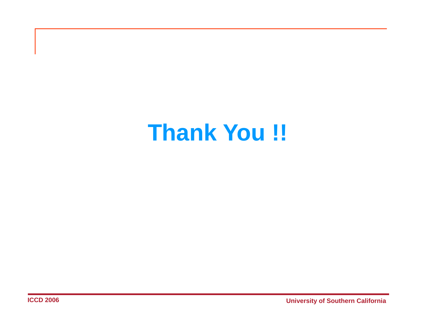# **Thank You !!**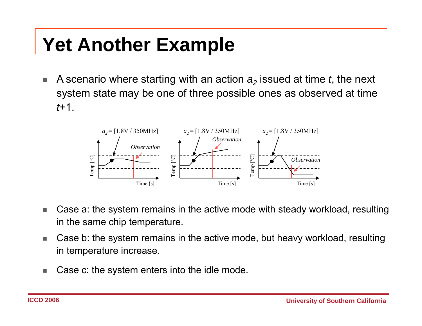## **Yet Another Example**

 $\mathcal{L}_{\mathcal{A}}$  $\blacksquare$  A scenario where starting with an action  $\boldsymbol{a}_2$  issued at time  $t$ , the next system state may be one of three possible ones as observed at time *t*+1.



- $\Box$  Case a: the system remains in the active mode with steady workload, resulting in the same chip temperature.
- $\overline{\phantom{a}}$  Case b: the system remains in the active mode, but heavy workload, resulting in temperature increase.
- $\Box$ Case c: the system enters into the idle mode.